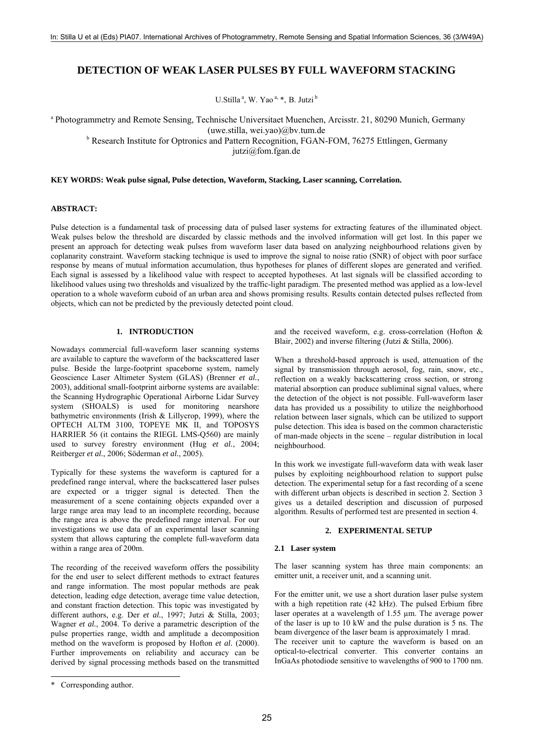# **DETECTION OF WEAK LASER PULSES BY FULL WAVEFORM STACKING**

U.Stilla<sup>a</sup>, W. Yao<sup>a, \*</sup>, B. Jutzi <sup>b</sup>

<sup>a</sup> Photogrammetry and Remote Sensing, Technische Universitaet Muenchen, Arcisstr. 21, 80290 Munich, Germany (uwe.stilla, wei.yao)@bv.tum.de<br><sup>b</sup> Research Institute for Optronics and Pattern Recognition, FGAN-FOM, 76275 Ettlingen, Germany

 $j$ iutzi $@$ fom.fgan.de

# **KEY WORDS: Weak pulse signal, Pulse detection, Waveform, Stacking, Laser scanning, Correlation.**

#### **ABSTRACT:**

Pulse detection is a fundamental task of processing data of pulsed laser systems for extracting features of the illuminated object. Weak pulses below the threshold are discarded by classic methods and the involved information will get lost. In this paper we present an approach for detecting weak pulses from waveform laser data based on analyzing neighbourhood relations given by coplanarity constraint. Waveform stacking technique is used to improve the signal to noise ratio (SNR) of object with poor surface response by means of mutual information accumulation, thus hypotheses for planes of different slopes are generated and verified. Each signal is assessed by a likelihood value with respect to accepted hypotheses. At last signals will be classified according to likelihood values using two thresholds and visualized by the traffic-light paradigm. The presented method was applied as a low-level operation to a whole waveform cuboid of an urban area and shows promising results. Results contain detected pulses reflected from objects, which can not be predicted by the previously detected point cloud.

# **1. INTRODUCTION**

Nowadays commercial full-waveform laser scanning systems are available to capture the waveform of the backscattered laser pulse. Beside the large-footprint spaceborne system, namely Geoscience Laser Altimeter System (GLAS) (Brenner *et al.*, 2003), additional small-footprint airborne systems are available: the Scanning Hydrographic Operational Airborne Lidar Survey system (SHOALS) is used for monitoring nearshore bathymetric environments (Irish & Lillycrop, 1999), where the OPTECH ALTM 3100, TOPEYE MK II, and TOPOSYS HARRIER 56 (it contains the RIEGL LMS-Q560) are mainly used to survey forestry environment (Hug *et al.*, 2004; Reitberger *et al.*, 2006; Söderman *et al.*, 2005).

Typically for these systems the waveform is captured for a predefined range interval, where the backscattered laser pulses are expected or a trigger signal is detected. Then the measurement of a scene containing objects expanded over a large range area may lead to an incomplete recording, because the range area is above the predefined range interval. For our investigations we use data of an experimental laser scanning system that allows capturing the complete full-waveform data within a range area of 200m.

The recording of the received waveform offers the possibility for the end user to select different methods to extract features and range information. The most popular methods are peak detection, leading edge detection, average time value detection, and constant fraction detection. This topic was investigated by different authors, e.g. Der *et al.*, 1997; Jutzi & Stilla, 2003; Wagner *et al.*, 2004. To derive a parametric description of the pulse properties range, width and amplitude a decomposition method on the waveform is proposed by Hofton *et al.* (2000). Further improvements on reliability and accuracy can be derived by signal processing methods based on the transmitted

l

and the received waveform, e.g. cross-correlation (Hofton & Blair, 2002) and inverse filtering (Jutzi & Stilla, 2006).

When a threshold-based approach is used, attenuation of the signal by transmission through aerosol, fog, rain, snow, etc., reflection on a weakly backscattering cross section, or strong material absorption can produce subliminal signal values, where the detection of the object is not possible. Full-waveform laser data has provided us a possibility to utilize the neighborhood relation between laser signals, which can be utilized to support pulse detection. This idea is based on the common characteristic of man-made objects in the scene – regular distribution in local neighbourhood.

In this work we investigate full-waveform data with weak laser pulses by exploiting neighbourhood relation to support pulse detection. The experimental setup for a fast recording of a scene with different urban objects is described in section 2. Section 3 gives us a detailed description and discussion of purposed algorithm. Results of performed test are presented in section 4.

#### **2. EXPERIMENTAL SETUP**

#### **2.1 Laser system**

The laser scanning system has three main components: an emitter unit, a receiver unit, and a scanning unit.

For the emitter unit, we use a short duration laser pulse system with a high repetition rate (42 kHz). The pulsed Erbium fibre laser operates at a wavelength of 1.55 µm. The average power of the laser is up to 10 kW and the pulse duration is 5 ns. The beam divergence of the laser beam is approximately 1 mrad. The receiver unit to capture the waveform is based on an optical-to-electrical converter. This converter contains an InGaAs photodiode sensitive to wavelengths of 900 to 1700 nm.

<span id="page-0-0"></span><sup>\*</sup> Corresponding author.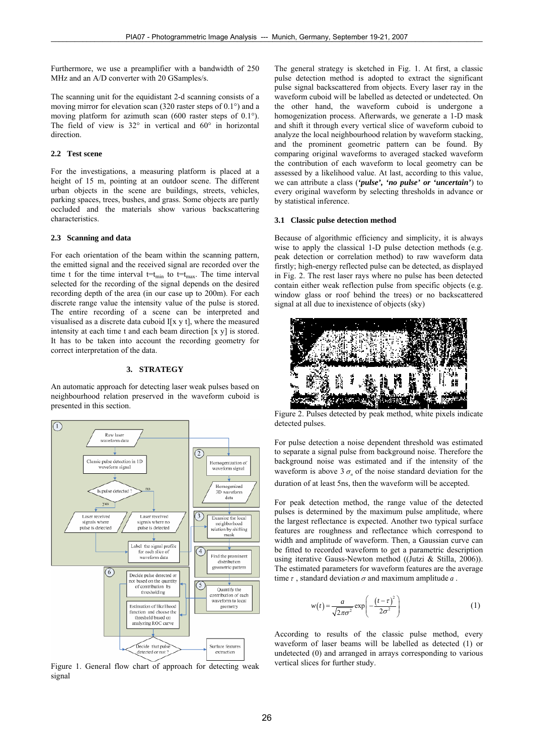Furthermore, we use a preamplifier with a bandwidth of 250 MHz and an A/D converter with 20 GSamples/s.

The scanning unit for the equidistant 2-d scanning consists of a moving mirror for elevation scan (320 raster steps of 0.1°) and a moving platform for azimuth scan (600 raster steps of 0.1°). The field of view is  $32^\circ$  in vertical and  $60^\circ$  in horizontal direction.

#### **2.2 Test scene**

For the investigations, a measuring platform is placed at a height of 15 m, pointing at an outdoor scene. The different urban objects in the scene are buildings, streets, vehicles, parking spaces, trees, bushes, and grass. Some objects are partly occluded and the materials show various backscattering characteristics.

#### **2.3 Scanning and data**

For each orientation of the beam within the scanning pattern, the emitted signal and the received signal are recorded over the time t for the time interval  $t=t_{min}$  to  $t=t_{max}$ . The time interval selected for the recording of the signal depends on the desired recording depth of the area (in our case up to 200m). For each discrete range value the intensity value of the pulse is stored. The entire recording of a scene can be interpreted and visualised as a discrete data cuboid I[x y t], where the measured intensity at each time t and each beam direction [x y] is stored. It has to be taken into account the recording geometry for correct interpretation of the data.

# **3. STRATEGY**

An automatic approach for detecting laser weak pulses based on neighbourhood relation preserved in the waveform cuboid is presented in this section.



Figure 1. General flow chart of approach for detecting weak signal

The general strategy is sketched in Fig. 1. At first, a classic pulse detection method is adopted to extract the significant pulse signal backscattered from objects. Every laser ray in the waveform cuboid will be labelled as detected or undetected. On the other hand, the waveform cuboid is undergone a homogenization process. Afterwards, we generate a 1-D mask and shift it through every vertical slice of waveform cuboid to analyze the local neighbourhood relation by waveform stacking, and the prominent geometric pattern can be found. By comparing original waveforms to averaged stacked waveform the contribution of each waveform to local geometry can be assessed by a likelihood value. At last, according to this value, we can attribute a class (*'pulse', 'no pulse' or 'uncertain'*) to every original waveform by selecting thresholds in advance or by statistical inference.

### **3.1 Classic pulse detection method**

Because of algorithmic efficiency and simplicity, it is always wise to apply the classical 1-D pulse detection methods (e.g. peak detection or correlation method) to raw waveform data firstly; high-energy reflected pulse can be detected, as displayed in Fig. 2. The rest laser rays where no pulse has been detected contain either weak reflection pulse from specific objects (e.g. window glass or roof behind the trees) or no backscattered signal at all due to inexistence of objects (sky)



Figure 2. Pulses detected by peak method, white pixels indicate detected pulses.

For pulse detection a noise dependent threshold was estimated to separate a signal pulse from background noise. Therefore the background noise was estimated and if the intensity of the waveform is above  $3\sigma$  of the noise standard deviation for the duration of at least 5ns, then the waveform will be accepted.

For peak detection method, the range value of the detected pulses is determined by the maximum pulse amplitude, where the largest reflectance is expected. Another two typical surface features are roughness and reflectance which correspond to width and amplitude of waveform. Then, a Gaussian curve can be fitted to recorded waveform to get a parametric description using iterative Gauss-Newton method ((Jutzi & Stilla, 2006)). The estimated parameters for waveform features are the average time  $\tau$ , standard deviation  $\sigma$  and maximum amplitude  $a$ .

$$
w(t) = \frac{a}{\sqrt{2\pi\sigma^2}} \exp\left(-\frac{\left(t-\tau\right)^2}{2\sigma^2}\right) \tag{1}
$$

According to results of the classic pulse method, every waveform of laser beams will be labelled as detected (1) or undetected (0) and arranged in arrays corresponding to various vertical slices for further study.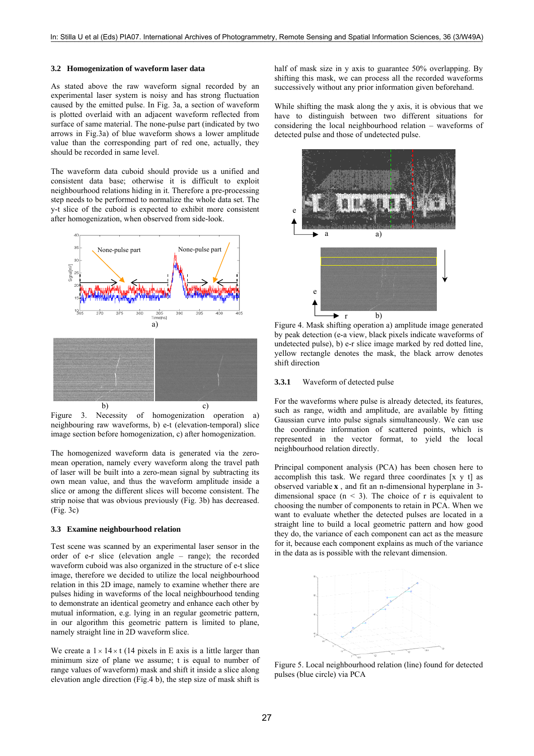# **3.2 Homogenization of waveform laser data**

As stated above the raw waveform signal recorded by an experimental laser system is noisy and has strong fluctuation caused by the emitted pulse. In Fig. 3a, a section of waveform is plotted overlaid with an adjacent waveform reflected from surface of same material. The none-pulse part (indicated by two arrows in Fig.3a) of blue waveform shows a lower amplitude value than the corresponding part of red one, actually, they should be recorded in same level.

The waveform data cuboid should provide us a unified and consistent data base; otherwise it is difficult to exploit neighbourhood relations hiding in it. Therefore a pre-processing step needs to be performed to normalize the whole data set. The y-t slice of the cuboid is expected to exhibit more consistent after homogenization, when observed from side-look.



Figure 3. Necessity of homogenization operation a) neighbouring raw waveforms, b) e-t (elevation-temporal) slice image section before homogenization, c) after homogenization.

The homogenized waveform data is generated via the zeromean operation, namely every waveform along the travel path of laser will be built into a zero-mean signal by subtracting its own mean value, and thus the waveform amplitude inside a slice or among the different slices will become consistent. The strip noise that was obvious previously (Fig. 3b) has decreased. (Fig. 3c)

### **3.3 Examine neighbourhood relation**

Test scene was scanned by an experimental laser sensor in the order of e-r slice (elevation angle – range); the recorded waveform cuboid was also organized in the structure of e-t slice image, therefore we decided to utilize the local neighbourhood relation in this 2D image, namely to examine whether there are pulses hiding in waveforms of the local neighbourhood tending to demonstrate an identical geometry and enhance each other by mutual information, e.g. lying in an regular geometric pattern, in our algorithm this geometric pattern is limited to plane, namely straight line in 2D waveform slice.

We create a  $1 \times 14 \times t$  (14 pixels in E axis is a little larger than minimum size of plane we assume; t is equal to number of range values of waveform) mask and shift it inside a slice along elevation angle direction (Fig.4 b), the step size of mask shift is

half of mask size in y axis to guarantee 50% overlapping. By shifting this mask, we can process all the recorded waveforms successively without any prior information given beforehand.

While shifting the mask along the y axis, it is obvious that we have to distinguish between two different situations for considering the local neighbourhood relation – waveforms of detected pulse and those of undetected pulse.



Figure 4. Mask shifting operation a) amplitude image generated by peak detection (e-a view, black pixels indicate waveforms of undetected pulse), b) e-r slice image marked by red dotted line, yellow rectangle denotes the mask, the black arrow denotes shift direction

#### **3.3.1** Waveform of detected pulse

For the waveforms where pulse is already detected, its features, such as range, width and amplitude, are available by fitting Gaussian curve into pulse signals simultaneously. We can use the coordinate information of scattered points, which is represented in the vector format, to vield the local neighbourhood relation directly.

Principal component analysis (PCA) has been chosen here to accomplish this task. We regard three coordinates  $[x \, y \, t]$  as observed variable **x**, and fit an n-dimensional hyperplane in 3dimensional space  $(n < 3)$ . The choice of r is equivalent to choosing the number of components to retain in PCA. When we want to evaluate whether the detected pulses are located in a straight line to build a local geometric pattern and how good they do, the variance of each component can act as the measure for it, because each component explains as much of the variance in the data as is possible with the relevant dimension.



Figure 5. Local neighbourhood relation (line) found for detected pulses (blue circle) via PCA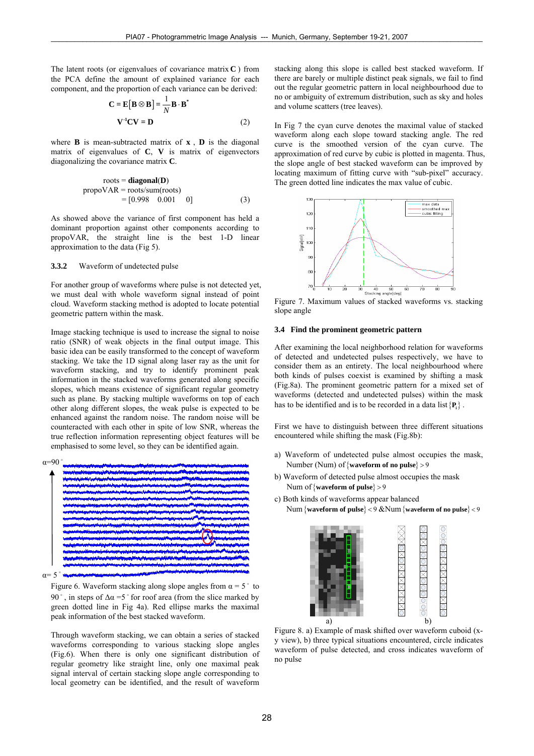The latent roots (or eigenvalues of covariance matrix **C** ) from the PCA define the amount of explained variance for each component, and the proportion of each variance can be derived:

$$
\mathbf{C} = \mathbf{E}[\mathbf{B} \otimes \mathbf{B}] = \frac{1}{N} \mathbf{B} \cdot \mathbf{B}^*
$$

$$
\mathbf{V}^{-1} \mathbf{C} \mathbf{V} = \mathbf{D}
$$
(2)

where **B** is mean-subtracted matrix of  $\bf{x}$ , **D** is the diagonal matrix of eigenvalues of **C**, **V** is matrix of eigenvectors diagonalizing the covariance matrix **C**.

$$
roots = diagonal(D)
$$
  
propoVAR = roots/sum(roots)  
= [0.998 0.001 0] (3)

As showed above the variance of first component has held a dominant proportion against other components according to propoVAR, the straight line is the best 1-D linear approximation to the data (Fig 5).

#### **3.3.2** Waveform of undetected pulse

For another group of waveforms where pulse is not detected yet, we must deal with whole waveform signal instead of point cloud. Waveform stacking method is adopted to locate potential geometric pattern within the mask.

Image stacking technique is used to increase the signal to noise ratio (SNR) of weak objects in the final output image. This basic idea can be easily transformed to the concept of waveform stacking. We take the 1D signal along laser ray as the unit for waveform stacking, and try to identify prominent peak information in the stacked waveforms generated along specific slopes, which means existence of significant regular geometry such as plane. By stacking multiple waveforms on top of each other along different slopes, the weak pulse is expected to be enhanced against the random noise. The random noise will be counteracted with each other in spite of low SNR, whereas the true reflection information representing object features will be emphasised to some level, so they can be identified again.



Figure 6. Waveform stacking along slope angles from  $\alpha = 5^{\circ}$  to 90<sup>°</sup>, in steps of  $\Delta \alpha = 5$ <sup>°</sup> for roof area (from the slice marked by green dotted line in Fig 4a). Red ellipse marks the maximal peak information of the best stacked waveform.

Through waveform stacking, we can obtain a series of stacked waveforms corresponding to various stacking slope angles (Fig.6). When there is only one significant distribution of regular geometry like straight line, only one maximal peak signal interval of certain stacking slope angle corresponding to local geometry can be identified, and the result of waveform

stacking along this slope is called best stacked waveform. If there are barely or multiple distinct peak signals, we fail to find out the regular geometric pattern in local neighbourhood due to no or ambiguity of extremum distribution, such as sky and holes and volume scatters (tree leaves).

In Fig 7 the cyan curve denotes the maximal value of stacked waveform along each slope toward stacking angle. The red curve is the smoothed version of the cyan curve. The approximation of red curve by cubic is plotted in magenta. Thus, the slope angle of best stacked waveform can be improved by locating maximum of fitting curve with "sub-pixel" accuracy. The green dotted line indicates the max value of cubic.



Figure 7. Maximum values of stacked waveforms vs. stacking slope angle

# **3.4 Find the prominent geometric pattern**

After examining the local neighborhood relation for waveforms of detected and undetected pulses respectively, we have to consider them as an entirety. The local neighbourhood where both kinds of pulses coexist is examined by shifting a mask (Fig.8a). The prominent geometric pattern for a mixed set of waveforms (detected and undetected pulses) within the mask has to be identified and is to be recorded in a data list  $\{P_i\}$ .

First we have to distinguish between three different situations encountered while shifting the mask (Fig.8b):

- a) Waveform of undetected pulse almost occupies the mask, Number (Num) of {**waveform of no pulse**} > 9
- b) Waveform of detected pulse almost occupies the mask Num of {**waveform of pulse**} > 9
- c) Both kinds of waveforms appear balanced Num{**waveform of pulse**} < 9 &Num{**waveform of no pulse**} < 9



Figure 8. a) Example of mask shifted over waveform cuboid (xy view), b) three typical situations encountered, circle indicates waveform of pulse detected, and cross indicates waveform of no pulse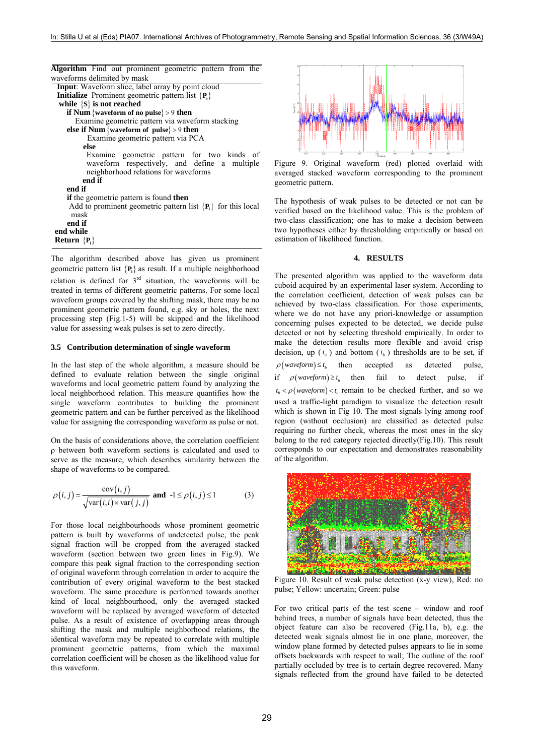| Algorithm Find out prominent geometric pattern from the                                                                                      |
|----------------------------------------------------------------------------------------------------------------------------------------------|
| waveforms delimited by mask                                                                                                                  |
| <b>Input:</b> Waveform slice, label array by point cloud                                                                                     |
| <b>Initialize</b> Prominent geometric pattern list $\{P_i\}$                                                                                 |
| while $\{S\}$ is not reached                                                                                                                 |
| if Num {waveform of no pulse} > 9 then                                                                                                       |
| Examine geometric pattern via waveform stacking                                                                                              |
| else if Num {waveform of pulse} > 9 then                                                                                                     |
| Examine geometric pattern via PCA                                                                                                            |
| else                                                                                                                                         |
| Examine geometric pattern for two kinds of<br>waveform respectively, and define a multiple<br>neighborhood relations for waveforms<br>end if |
| end if                                                                                                                                       |
| if the geometric pattern is found then                                                                                                       |
| Add to prominent geometric pattern list $\{P_i\}$ for this local                                                                             |
| mask                                                                                                                                         |
| end if                                                                                                                                       |
| end while                                                                                                                                    |
| <b>Return</b> $\{P_i\}$                                                                                                                      |

The algorithm described above has given us prominent geometric pattern list {**Pi**} as result. If a multiple neighborhood relation is defined for  $3<sup>rd</sup>$  situation, the waveforms will be treated in terms of different geometric patterns. For some local waveform groups covered by the shifting mask, there may be no prominent geometric pattern found, e.g. sky or holes, the next processing step (Fig.1-5) will be skipped and the likelihood value for assessing weak pulses is set to zero directly.

### **3.5 Contribution determination of single waveform**

In the last step of the whole algorithm, a measure should be defined to evaluate relation between the single original waveforms and local geometric pattern found by analyzing the local neighborhood relation. This measure quantifies how the single waveform contributes to building the prominent geometric pattern and can be further perceived as the likelihood value for assigning the corresponding waveform as pulse or not.

On the basis of considerations above, the correlation coefficient ρ between both waveform sections is calculated and used to serve as the measure, which describes similarity between the shape of waveforms to be compared.

$$
\rho(i,j) = \frac{\text{cov}(i,j)}{\sqrt{\text{var}(i,i) \times \text{var}(j,j)}} \text{ and } -1 \le \rho(i,j) \le 1
$$
 (3)

For those local neighbourhoods whose prominent geometric pattern is built by waveforms of undetected pulse, the peak signal fraction will be cropped from the averaged stacked waveform (section between two green lines in Fig.9). We compare this peak signal fraction to the corresponding section of original waveform through correlation in order to acquire the contribution of every original waveform to the best stacked waveform. The same procedure is performed towards another kind of local neighbourhood, only the averaged stacked waveform will be replaced by averaged waveform of detected pulse. As a result of existence of overlapping areas through shifting the mask and multiple neighborhood relations, the identical waveform may be repeated to correlate with multiple prominent geometric patterns, from which the maximal correlation coefficient will be chosen as the likelihood value for this waveform.



Figure 9. Original waveform (red) plotted overlaid with averaged stacked waveform corresponding to the prominent geometric pattern.

The hypothesis of weak pulses to be detected or not can be verified based on the likelihood value. This is the problem of two-class classification; one has to make a decision between two hypotheses either by thresholding empirically or based on estimation of likelihood function.

### **4. RESULTS**

The presented algorithm was applied to the waveform data cuboid acquired by an experimental laser system. According to the correlation coefficient, detection of weak pulses can be achieved by two-class classification. For those experiments, where we do not have any priori-knowledge or assumption concerning pulses expected to be detected, we decide pulse detected or not by selecting threshold empirically. In order to make the detection results more flexible and avoid crisp decision, up  $(t_n)$  and bottom  $(t_n)$  thresholds are to be set, if  $\rho(waveform) \leq t_b$  then accepted as detected pulse, if  $\rho(\text{waveform}) \ge t_n$  then fail to detect pulse,  $t_h < \rho$  (*waveform*) < *t<sub>u</sub>* remain to be checked further, and so we used a traffic-light paradigm to visualize the detection result which is shown in Fig 10. The most signals lying among roof region (without occlusion) are classified as detected pulse requiring no further check, whereas the most ones in the sky belong to the red category rejected directly(Fig.10). This result corresponds to our expectation and demonstrates reasonability of the algorithm.



Figure 10. Result of weak pulse detection (x-y view), Red: no pulse; Yellow: uncertain; Green: pulse

For two critical parts of the test scene – window and roof behind trees, a number of signals have been detected, thus the object feature can also be recovered (Fig.11a, b), e.g. the detected weak signals almost lie in one plane, moreover, the window plane formed by detected pulses appears to lie in some offsets backwards with respect to wall; The outline of the roof partially occluded by tree is to certain degree recovered. Many signals reflected from the ground have failed to be detected